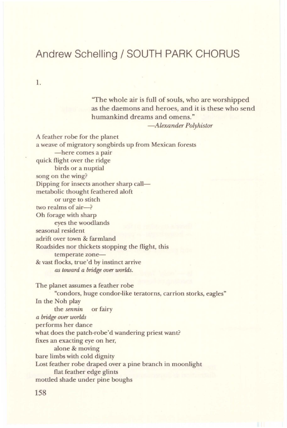## **Andrew Schelling/ SOUTH PARK CHORUS**

1.

''The whole air is full of souls, who are worshipped as the daemons and heroes, and it is these who send humankind dreams and omens."

*-Alexander Polyhistor* 

A feather robe for the planet a weave of migratory songbirds up from Mexican forests -here comes a pair quick flight over the ridge birds or a nuptial song on the wing? Dipping for insects another sharp callmetabolic thought feathered aloft or urge to stitch two realms of air-? Oh forage with sharp eyes the woodlands seasonal resident adrift over town & farmland Roadsides nor thickets stopping the flight, this temperate zone-& vast flocks, true'd by instinct arrive *as toward a bridge over worlds.* 

The planet assumes a feather robe "condors, huge condor-like teratorns, carrion storks, eagles" In the Noh play the *sennin* or fairy *a bridge over worlds*  performs her dance what does the patch-robe'd wandering priest want? fixes an exacting eye on her, alone & moving bare limbs with cold dignity Lost feather robe draped over a pine branch in moonlight flat feather edge glints mottled shade under pine boughs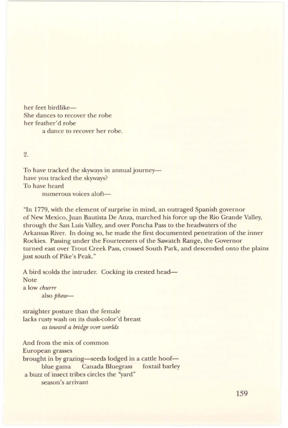her feet birdlike-She dances to recover the robe her feather'd robe a dance to recover her robe.

2.

To have tracked the skyways in annual journeyhave you tracked the skyways? To have heard

numerous voices aloft-

"In 1779, with the element of surprise in mind, an outraged Spanish governor of New Mexico,Juan Bautista De Anza, marched his force up the Rio Grande Valley, through the San Luis Valley, and over Poncha Pass to the headwaters of the Arkansas River. In doing so, he made the first documented penetration of the inner Rockies. Passing under the Fourteeners of the Sawatch Range, the Governor turned east over Trout Creek Pass, crossed South Park, and descended onto the plains just south of Pike's Peak."

A bird scolds the intruder. Cocking its crested head-Note a low *churrr*  also phew-

straighter posture than the female lacks rusty wash on its dusk-color'd breast *as toward a bridge over worlds* 

And from the mix of common European grasses brought in by grazing-seeds lodged in a cattle hoofblue gama Canada Bluegrass foxtail barley a buzz of insect tribes circles the "yard" season's arrivant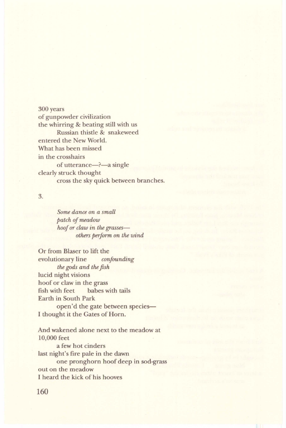300 years of gunpowder civilization the whirring & beating still with us Russian thistle & snakeweed entered the New World. What has been missed in the crosshairs of utterance—?—a single clearly struck thought cross the sky quick between branches.

3.

*Some dance on a small patch of meadow hoof or claw in the grassesothers perform on the wind* 

Or from Blaser to lift the evolutionary line *confounding the gods and the fish*  lucid night visions hoof or claw in the grass fish with feet babes with tails Earth in South Park open'd the gate between species-I thought it the Gates of Horn.

And wakened alone next to the meadow at 10,000 feet a few hot cinders last night's fire pale in the dawn one pronghorn hoof deep in sod-grass out on the meadow I heard the kick of his hooves

160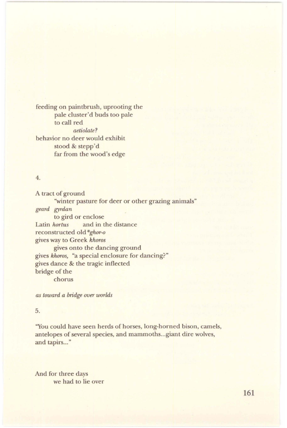feeding on paintbrush, uprooting the pale cluster'd buds too pale to call red *aetiolate?*  behavior no deer would exhibit stood & stepp'd far from the wood's edge

## 4.

A tract of ground "winter pasture for deer or other grazing animals" *geard gyrdan*  to gird or enclose Latin *hortus* and in the distance reconstructed old *\*ghor-o*  gives way to Greek *khoros*  gives onto the dancing ground gives *khoros,* "a special enclosure for dancing?" gives dance & the tragic inflected bridge of the chorus

*as toward a bridge over worlds* 

## 5.

"You could have seen herds of horses, long-horned bison, camels, antelopes of several species, and mammoths ... giant dire wolves, and tapirs..."

And for three days we had to lie over